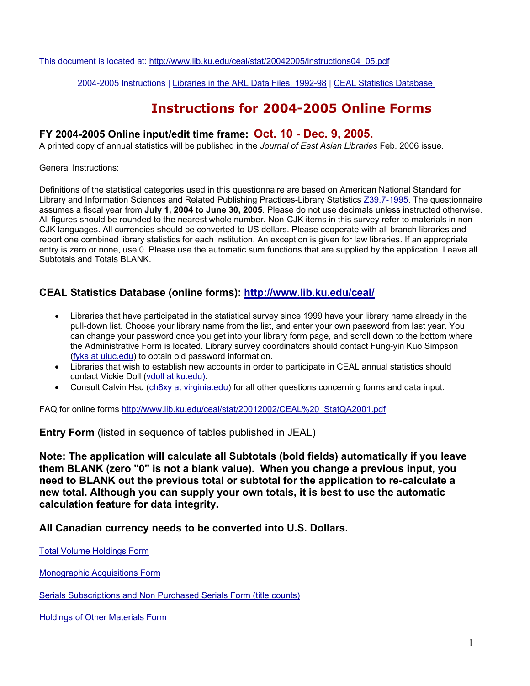This document is located at: http://www.lib.ku.edu/ceal/stat/20042005/instructions04\_05.pdf

2004-2005 Instructions | Libraries in the ARL Data Files, 1992-98 | CEAL Statistics Database

# **Instructions for 2004-2005 Online Forms**

## **FY 2004-2005 Online input/edit time frame: Oct. 10 - Dec. 9, 2005.**

A printed copy of annual statistics will be published in the *Journal of East Asian Libraries* Feb. 2006 issue.

General Instructions:

Definitions of the statistical categories used in this questionnaire are based on American National Standard for Library and Information Sciences and Related Publishing Practices-Library Statistics Z39.7-1995. The questionnaire assumes a fiscal year from **July 1, 2004 to June 30, 2005**. Please do not use decimals unless instructed otherwise. All figures should be rounded to the nearest whole number. Non-CJK items in this survey refer to materials in non-CJK languages. All currencies should be converted to US dollars. Please cooperate with all branch libraries and report one combined library statistics for each institution. An exception is given for law libraries. If an appropriate entry is zero or none, use 0. Please use the automatic sum functions that are supplied by the application. Leave all Subtotals and Totals BLANK.

## **CEAL Statistics Database (online forms): http://www.lib.ku.edu/ceal/**

- Libraries that have participated in the statistical survey since 1999 have your library name already in the pull-down list. Choose your library name from the list, and enter your own password from last year. You can change your password once you get into your library form page, and scroll down to the bottom where the Administrative Form is located. Library survey coordinators should contact Fung-yin Kuo Simpson (fyks at uiuc.edu) to obtain old password information.
- Libraries that wish to establish new accounts in order to participate in CEAL annual statistics should contact Vickie Doll (vdoll at ku.edu).
- Consult Calvin Hsu (ch8xy at virginia.edu) for all other questions concerning forms and data input.

FAQ for online forms http://www.lib.ku.edu/ceal/stat/20012002/CEAL%20\_StatQA2001.pdf

**Entry Form** (listed in sequence of tables published in JEAL)

**Note: The application will calculate all Subtotals (bold fields) automatically if you leave them BLANK (zero "0" is not a blank value). When you change a previous input, you need to BLANK out the previous total or subtotal for the application to re-calculate a new total. Although you can supply your own totals, it is best to use the automatic calculation feature for data integrity.** 

**All Canadian currency needs to be converted into U.S. Dollars.** 

Total Volume Holdings Form

Monographic Acquisitions Form

Serials Subscriptions and Non Purchased Serials Form (title counts)

Holdings of Other Materials Form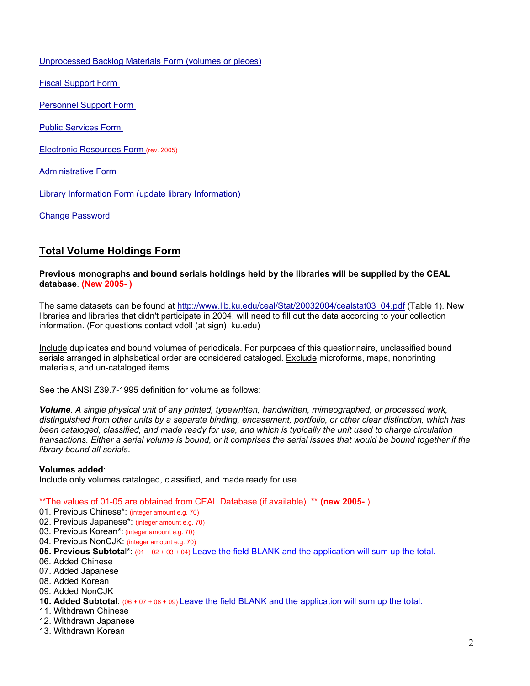Unprocessed Backlog Materials Form (volumes or pieces)

Fiscal Support Form

Personnel Support Form

Public Services Form

Electronic Resources Form (rev. 2005)

Administrative Form

Library Information Form (update library Information)

Change Password

## **Total Volume Holdings Form**

#### **Previous monographs and bound serials holdings held by the libraries will be supplied by the CEAL database**. **(New 2005- )**

The same datasets can be found at http://www.lib.ku.edu/ceal/Stat/20032004/cealstat03\_04.pdf (Table 1). New libraries and libraries that didn't participate in 2004, will need to fill out the data according to your collection information. (For questions contact vdoll (at sign) ku.edu)

Include duplicates and bound volumes of periodicals. For purposes of this questionnaire, unclassified bound serials arranged in alphabetical order are considered cataloged. Exclude microforms, maps, nonprinting materials, and un-cataloged items.

See the ANSI Z39.7-1995 definition for volume as follows:

*Volume*. *A single physical unit of any printed, typewritten, handwritten, mimeographed, or processed work, distinguished from other units by a separate binding, encasement, portfolio, or other clear distinction, which has been cataloged, classified, and made ready for use, and which is typically the unit used to charge circulation transactions. Either a serial volume is bound, or it comprises the serial issues that would be bound together if the library bound all serials*.

### **Volumes added**:

Include only volumes cataloged, classified, and made ready for use.

### \*\*The values of 01-05 are obtained from CEAL Database (if available). \*\* **(new 2005-** )

- 01. Previous Chinese\*: (integer amount e.g. 70)
- 02. Previous Japanese\*: (integer amount e.g. 70)
- 03. Previous Korean\*: (integer amount e.g. 70)
- 04. Previous NonCJK: (integer amount e.g. 70)
- **05. Previous Subtota**l\*: (01 + 02 + 03 + 04) Leave the field BLANK and the application will sum up the total.
- 06. Added Chinese
- 07. Added Japanese
- 08. Added Korean
- 09. Added NonCJK
- **10. Added Subtotal**: (06 + 07 + 08 + 09) Leave the field BLANK and the application will sum up the total.
- 11. Withdrawn Chinese
- 12. Withdrawn Japanese
- 13. Withdrawn Korean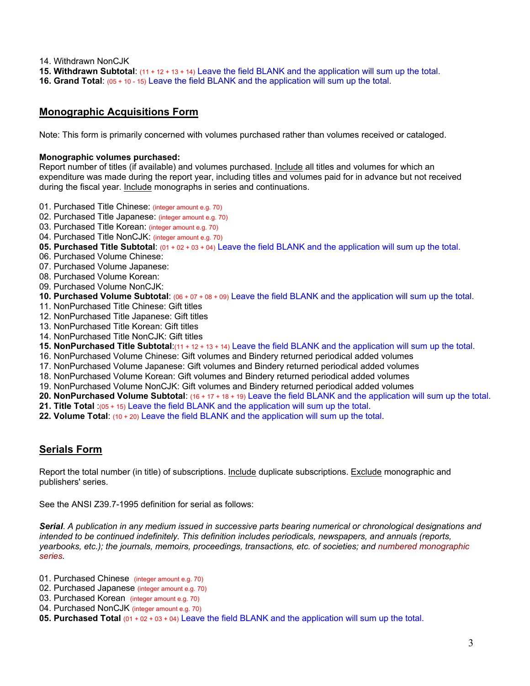- 14. Withdrawn NonCJK
- **15. Withdrawn Subtotal**: (11 + 12 + 13 + 14) Leave the field BLANK and the application will sum up the total.
- **16. Grand Total**: (05 + 10 15) Leave the field BLANK and the application will sum up the total.

## **Monographic Acquisitions Form**

Note: This form is primarily concerned with volumes purchased rather than volumes received or cataloged.

#### **Monographic volumes purchased:**

Report number of titles (if available) and volumes purchased. Include all titles and volumes for which an expenditure was made during the report year, including titles and volumes paid for in advance but not received during the fiscal year. Include monographs in series and continuations.

- 01. Purchased Title Chinese: (integer amount e.g. 70)
- 02. Purchased Title Japanese: (integer amount e.g. 70)
- 03. Purchased Title Korean: *(integer amount e.g. 70)*
- 04. Purchased Title NonCJK: (integer amount e.g. 70)
- **05. Purchased Title Subtotal**: (01 + 02 + 03 + 04) Leave the field BLANK and the application will sum up the total.
- 06. Purchased Volume Chinese:
- 07. Purchased Volume Japanese:
- 08. Purchased Volume Korean:
- 09. Purchased Volume NonCJK:
- **10. Purchased Volume Subtotal**: (06 + 07 + 08 + 09) Leave the field BLANK and the application will sum up the total.
- 11. NonPurchased Title Chinese: Gift titles
- 12. NonPurchased Title Japanese: Gift titles
- 13. NonPurchased Title Korean: Gift titles
- 14. NonPurchased Title NonCJK: Gift titles
- **15. NonPurchased Title Subtotal**:(11 + 12 + 13 + 14) Leave the field BLANK and the application will sum up the total.
- 16. NonPurchased Volume Chinese: Gift volumes and Bindery returned periodical added volumes
- 17. NonPurchased Volume Japanese: Gift volumes and Bindery returned periodical added volumes
- 18. NonPurchased Volume Korean: Gift volumes and Bindery returned periodical added volumes
- 19. NonPurchased Volume NonCJK: Gift volumes and Bindery returned periodical added volumes
- **20. NonPurchased Volume Subtotal**: (16 + 17 + 18 + 19) Leave the field BLANK and the application will sum up the total.
- **21. Title Total** :(05 + 15) Leave the field BLANK and the application will sum up the total.
- **22. Volume Total**: (10 + 20) Leave the field BLANK and the application will sum up the total.

## **Serials Form**

Report the total number (in title) of subscriptions. Include duplicate subscriptions. Exclude monographic and publishers' series.

See the ANSI Z39.7-1995 definition for serial as follows:

*Serial*. *A publication in any medium issued in successive parts bearing numerical or chronological designations and intended to be continued indefinitely. This definition includes periodicals, newspapers, and annuals (reports, yearbooks, etc.); the journals, memoirs, proceedings, transactions, etc. of societies; and numbered monographic series.*

- 01. Purchased Chinese (integer amount e.g. 70)
- 02. Purchased Japanese (integer amount e.g. 70)
- 03. Purchased Korean (integer amount e.g. 70)
- 04. Purchased NonCJK (integer amount e.g. 70)
- **05. Purchased Total** (01 + 02 + 03 + 04) Leave the field BLANK and the application will sum up the total.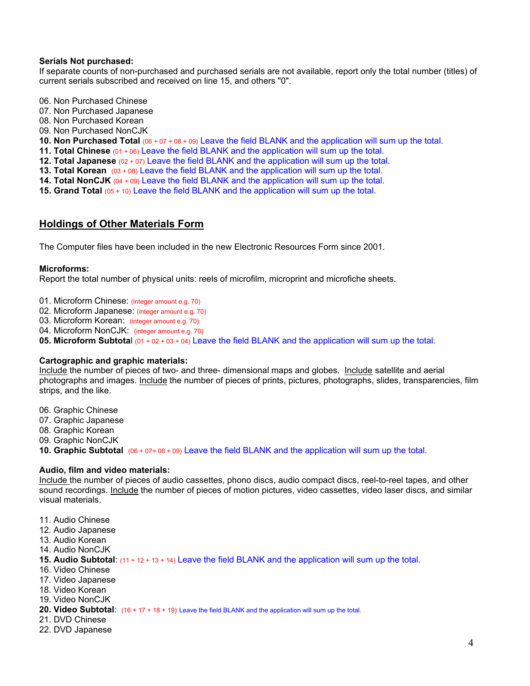#### **Serials Not purchased:**

If separate counts of non-purchased and purchased serials are not available, report only the total number (titles) of current serials subscribed and received on line 15, and others "0".

- 06. Non Purchased Chinese
- 07. Non Purchased Japanese
- 08. Non Purchased Korean
- 09. Non Purchased NonCJK
- **10. Non Purchased Total** (06 + 07 + 08 + 09) Leave the field BLANK and the application will sum up the total.
- **11. Total Chinese** (01 + 06) Leave the field BLANK and the application will sum up the total.
- **12. Total Japanese** (02 + 07) Leave the field BLANK and the application will sum up the total.
- **13. Total Korean** (03 + 08) Leave the field BLANK and the application will sum up the total.
- **14. Total NonCJK** (04 + 09) Leave the field BLANK and the application will sum up the total.
- **15. Grand Total** (05 + 10) Leave the field BLANK and the application will sum up the total.

## **Holdings of Other Materials Form**

The Computer files have been included in the new Electronic Resources Form since 2001.

#### **Microforms:**

Report the total number of physical units: reels of microfilm, microprint and microfiche sheets.

- 01. Microform Chinese: (integer amount e.g. 70)
- 02. Microform Japanese: (integer amount e.g. 70)
- 03. Microform Korean: (integer amount e.g. 70)
- 04. Microform NonCJK: (integer amount e.g. 70)
- **05. Microform Subtota**l (01 + 02 + 03 + 04) Leave the field BLANK and the application will sum up the total.

#### **Cartographic and graphic materials:**

Include the number of pieces of two- and three- dimensional maps and globes. Include satellite and aerial photographs and images. Include the number of pieces of prints, pictures, photographs, slides, transparencies, film strips, and the like.

- 06. Graphic Chinese
- 07. Graphic Japanese
- 08. Graphic Korean
- 09. Graphic NonCJK
- **10. Graphic Subtotal** (06 + 07+ 08 + 09) Leave the field BLANK and the application will sum up the total.

#### **Audio, film and video materials:**

Include the number of pieces of audio cassettes, phono discs, audio compact discs, reel-to-reel tapes, and other sound recordings. Include the number of pieces of motion pictures, video cassettes, video laser discs, and similar visual materials.

- 11. Audio Chinese
- 12. Audio Japanese
- 13. Audio Korean
- 14. Audio NonCJK
- **15. Audio Subtotal**: (11 + 12 + 13 + 14) Leave the field BLANK and the application will sum up the total.
- 16. Video Chinese
- 17. Video Japanese
- 18. Video Korean
- 19. Video NonCJK
- **20. Video Subtotal**: (16 + 17 + 18 + 19) Leave the field BLANK and the application will sum up the total.
- 21. DVD Chinese
- 22. DVD Japanese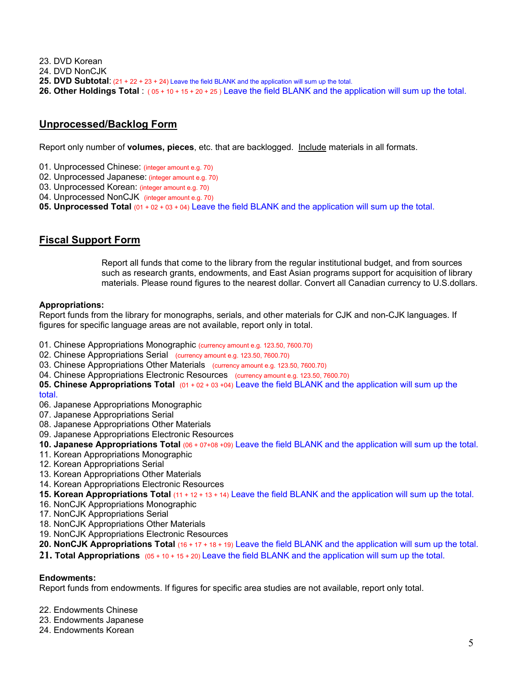23. DVD Korean

- 24. DVD NonCJK
- **25. DVD Subtotal**: (21 + 22 + 23 + 24) Leave the field BLANK and the application will sum up the total.
- **26. Other Holdings Total** : ( 05 + 10 + 15 + 20 + 25 ) Leave the field BLANK and the application will sum up the total.

## **Unprocessed/Backlog Form**

Report only number of **volumes, pieces**, etc. that are backlogged. Include materials in all formats.

- 01. Unprocessed Chinese: (integer amount e.g. 70)
- 02. Unprocessed Japanese: (integer amount e.g. 70)
- 03. Unprocessed Korean: (integer amount e.g. 70)
- 04. Unprocessed NonCJK (integer amount e.g. 70)
- **05. Unprocessed Total** (01 + 02 + 03 + 04) Leave the field BLANK and the application will sum up the total.

## **Fiscal Support Form**

Report all funds that come to the library from the regular institutional budget, and from sources such as research grants, endowments, and East Asian programs support for acquisition of library materials. Please round figures to the nearest dollar. Convert all Canadian currency to U.S.dollars.

#### **Appropriations:**

Report funds from the library for monographs, serials, and other materials for CJK and non-CJK languages. If figures for specific language areas are not available, report only in total.

- 01. Chinese Appropriations Monographic (currency amount e.g. 123.50, 7600.70)
- 02. Chinese Appropriations Serial (currency amount e.g. 123.50, 7600.70)
- 03. Chinese Appropriations Other Materials (currency amount e.g. 123.50, 7600.70)
- 04. Chinese Appropriations Electronic Resources (currency amount e.g. 123.50, 7600.70)

**05. Chinese Appropriations Total** (01 + 02 + 03 +04) Leave the field BLANK and the application will sum up the total.

- 06. Japanese Appropriations Monographic
- 07. Japanese Appropriations Serial
- 08. Japanese Appropriations Other Materials
- 09. Japanese Appropriations Electronic Resources
- **10. Japanese Appropriations Total** (06 + 07+08 +09) Leave the field BLANK and the application will sum up the total.
- 11. Korean Appropriations Monographic
- 12. Korean Appropriations Serial
- 13. Korean Appropriations Other Materials
- 14. Korean Appropriations Electronic Resources
- **15. Korean Appropriations Total** (11 + 12 + 13 + 14) Leave the field BLANK and the application will sum up the total.
- 16. NonCJK Appropriations Monographic
- 17. NonCJK Appropriations Serial
- 18. NonCJK Appropriations Other Materials
- 19. NonCJK Appropriations Electronic Resources
- **20. NonCJK Appropriations Total** (16 + 17 + 18 + 19) Leave the field BLANK and the application will sum up the total.
- **21. Total Appropriations** (05 + 10 + 15 + 20) Leave the field BLANK and the application will sum up the total.

#### **Endowments:**

Report funds from endowments. If figures for specific area studies are not available, report only total.

- 22. Endowments Chinese
- 23. Endowments Japanese
- 24. Endowments Korean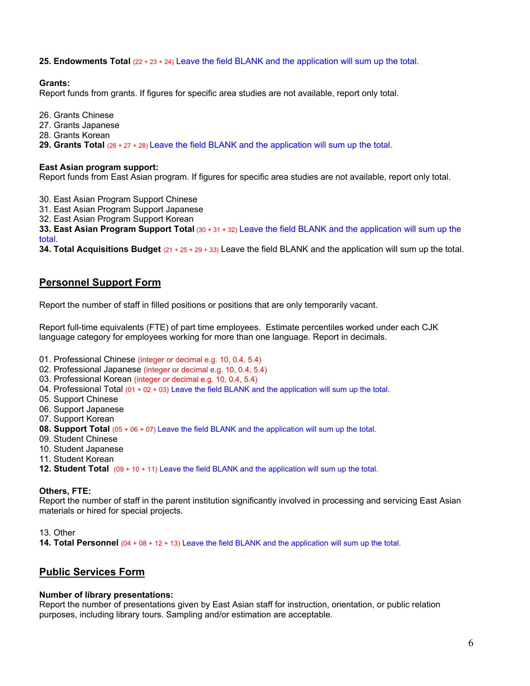**25. Endowments Total** (22 + 23 + 24) Leave the field BLANK and the application will sum up the total.

### **Grants:**

Report funds from grants. If figures for specific area studies are not available, report only total.

- 26. Grants Chinese
- 27. Grants Japanese
- 28. Grants Korean
- **29. Grants Total** (26 + 27 + 28) Leave the field BLANK and the application will sum up the total.

#### **East Asian program support:**

Report funds from East Asian program. If figures for specific area studies are not available, report only total.

30. East Asian Program Support Chinese

31. East Asian Program Support Japanese

32. East Asian Program Support Korean

**33. East Asian Program Support Total** (30 + 31 + 32) Leave the field BLANK and the application will sum up the total.

**34. Total Acquisitions Budget** (21 + 25 + 29 + 33) Leave the field BLANK and the application will sum up the total.

## **Personnel Support Form**

Report the number of staff in filled positions or positions that are only temporarily vacant.

Report full-time equivalents (FTE) of part time employees. Estimate percentiles worked under each CJK language category for employees working for more than one language. Report in decimals.

- 01. Professional Chinese (integer or decimal e.g. 10, 0.4, 5.4)
- 02. Professional Japanese (integer or decimal e.g. 10, 0.4, 5.4)
- 03. Professional Korean (integer or decimal e.g. 10, 0.4, 5.4)
- 04. Professional Total (01 + 02 + 03) Leave the field BLANK and the application will sum up the total.
- 05. Support Chinese
- 06. Support Japanese
- 07. Support Korean
- **08. Support Total** (05 + 06 + 07) Leave the field BLANK and the application will sum up the total.
- 09. Student Chinese
- 10. Student Japanese
- 11. Student Korean
- **12. Student Total** (09 + 10 + 11) Leave the field BLANK and the application will sum up the total.

### **Others, FTE:**

Report the number of staff in the parent institution significantly involved in processing and servicing East Asian materials or hired for special projects.

13. Other

**14. Total Personnel** (04 + 08 + 12 + 13) Leave the field BLANK and the application will sum up the total.

## **Public Services Form**

### **Number of library presentations:**

Report the number of presentations given by East Asian staff for instruction, orientation, or public relation purposes, including library tours. Sampling and/or estimation are acceptable.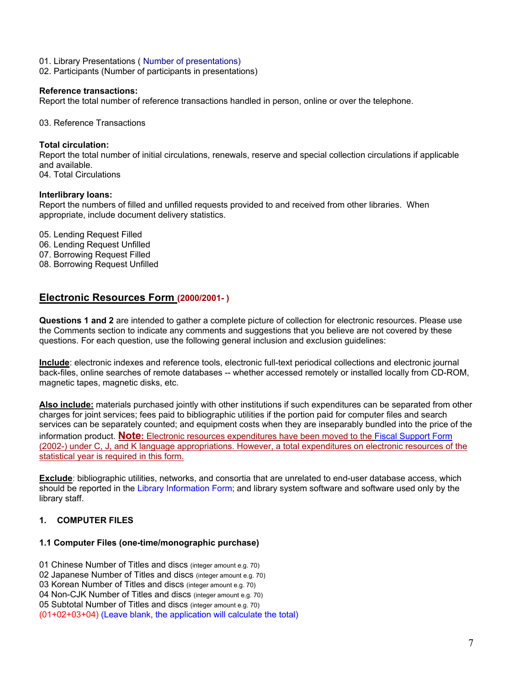- 01. Library Presentations ( Number of presentations)
- 02. Participants (Number of participants in presentations)

#### **Reference transactions:**

Report the total number of reference transactions handled in person, online or over the telephone.

03. Reference Transactions

#### **Total circulation:**

Report the total number of initial circulations, renewals, reserve and special collection circulations if applicable and available.

04. Total Circulations

#### **Interlibrary loans:**

Report the numbers of filled and unfilled requests provided to and received from other libraries. When appropriate, include document delivery statistics.

- 05. Lending Request Filled
- 06. Lending Request Unfilled
- 07. Borrowing Request Filled
- 08. Borrowing Request Unfilled

## **Electronic Resources Form (2000/2001- )**

**Questions 1 and 2** are intended to gather a complete picture of collection for electronic resources. Please use the Comments section to indicate any comments and suggestions that you believe are not covered by these questions. For each question, use the following general inclusion and exclusion guidelines:

**Include**: electronic indexes and reference tools, electronic full-text periodical collections and electronic journal back-files, online searches of remote databases -- whether accessed remotely or installed locally from CD-ROM, magnetic tapes, magnetic disks, etc.

**Also include:** materials purchased jointly with other institutions if such expenditures can be separated from other charges for joint services; fees paid to bibliographic utilities if the portion paid for computer files and search services can be separately counted; and equipment costs when they are inseparably bundled into the price of the information product. **Note:** Electronic resources expenditures have been moved to the Fiscal Support Form (2002-) under C, J, and K language appropriations. However, a total expenditures on electronic resources of the statistical year is required in this form.

**Exclude**: bibliographic utilities, networks, and consortia that are unrelated to end-user database access, which should be reported in the Library Information Form; and library system software and software used only by the library staff.

## **1. COMPUTER FILES**

### **1.1 Computer Files (one-time/monographic purchase)**

- 01 Chinese Number of Titles and discs (integer amount e.g. 70)
- 02 Japanese Number of Titles and discs (integer amount e.g. 70)
- 03 Korean Number of Titles and discs (integer amount e.g. 70)
- 04 Non-CJK Number of Titles and discs (integer amount e.g. 70)
- 05 Subtotal Number of Titles and discs (integer amount e.g. 70)

(01+02+03+04) (Leave blank, the application will calculate the total)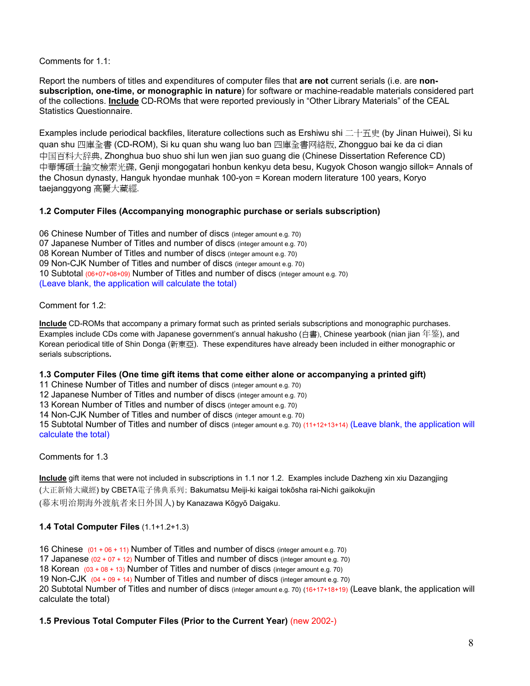Comments for 1.1:

Report the numbers of titles and expenditures of computer files that **are not** current serials (i.e. are **nonsubscription, one-time, or monographic in nature**) for software or machine-readable materials considered part of the collections. **Include** CD-ROMs that were reported previously in "Other Library Materials" of the CEAL Statistics Questionnaire.

Examples include periodical backfiles, literature collections such as Ershiwu shi 二十五史 (by Jinan Huiwei), Si ku quan shu 四庫全書 (CD-ROM), Si ku quan shu wang luo ban 四庫全書网絡版, Zhongguo bai ke da ci dian 中国百科大辞典, Zhonghua buo shuo shi lun wen jian suo guang die (Chinese Dissertation Reference CD) 中華博碩士論文檢索光碟, Genji mongogatari honbun kenkyu deta besu, Kugyok Choson wangjo sillok= Annals of the Chosun dynasty, Hanguk hyondae munhak 100-yon = Korean modern literature 100 years, Koryo taejanggyong 高麗大藏經.

### **1.2 Computer Files (Accompanying monographic purchase or serials subscription)**

06 Chinese Number of Titles and number of discs (integer amount e.g. 70) 07 Japanese Number of Titles and number of discs (integer amount e.g. 70) 08 Korean Number of Titles and number of discs (integer amount e.g. 70) 09 Non-CJK Number of Titles and number of discs (integer amount e.g. 70) 10 Subtotal (06+07+08+09) Number of Titles and number of discs (integer amount e.g. 70) (Leave blank, the application will calculate the total)

### Comment for 1.2:

**Include** CD-ROMs that accompany a primary format such as printed serials subscriptions and monographic purchases. Examples include CDs come with Japanese government's annual hakusho (白書), Chinese yearbook (nian jian 年鉴), and Korean periodical title of Shin Donga (新東亞). These expenditures have already been included in either monographic or serials subscriptions**.** 

### **1.3 Computer Files (One time gift items that come either alone or accompanying a printed gift)**

11 Chinese Number of Titles and number of discs (integer amount e.g. 70)

12 Japanese Number of Titles and number of discs (integer amount e.g. 70)

13 Korean Number of Titles and number of discs (integer amount e.g. 70)

14 Non-CJK Number of Titles and number of discs (integer amount e.g. 70)

15 Subtotal Number of Titles and number of discs (integer amount e.g. 70) (11+12+13+14) (Leave blank, the application will calculate the total)

### Comments for 1.3

**Include** gift items that were not included in subscriptions in 1.1 nor 1.2. Examples include Dazheng xin xiu Dazangjing (大正新脩大藏經) by CBETA電子佛典系列; Bakumatsu Meiji-ki kaigai tokōsha rai-Nichi gaikokujin (幕末明治期海外渡航者来日外国人) by Kanazawa Kōgyō Daigaku.

## **1.4 Total Computer Files** (1.1+1.2+1.3)

16 Chinese (01 + 06 + 11) Number of Titles and number of discs (integer amount e.g. 70)

17 Japanese  $(02 + 07 + 12)$  Number of Titles and number of discs (integer amount e.g. 70)

18 Korean  $(03 + 08 + 13)$  Number of Titles and number of discs (integer amount e.g. 70)

19 Non-CJK  $(04 + 09 + 14)$  Number of Titles and number of discs (integer amount e.g. 70)

20 Subtotal Number of Titles and number of discs (integer amount e.g. 70) (16+17+18+19) (Leave blank, the application will calculate the total)

### **1.5 Previous Total Computer Files (Prior to the Current Year)** (new 2002-)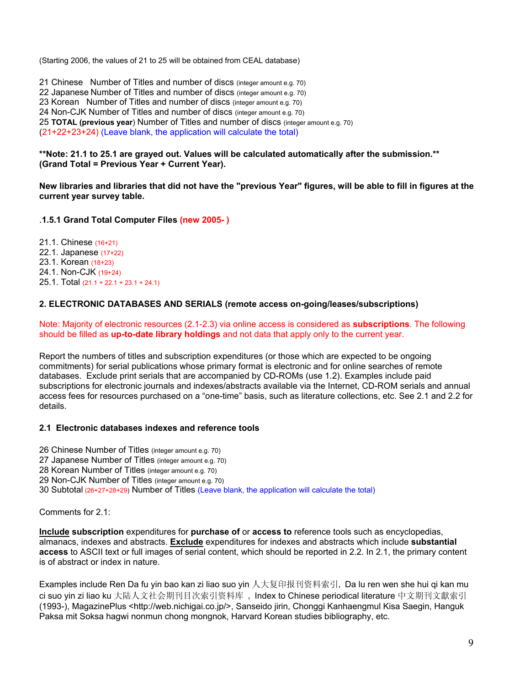(Starting 2006, the values of 21 to 25 will be obtained from CEAL database)

21 Chinese Number of Titles and number of discs (integer amount e.g. 70) 22 Japanese Number of Titles and number of discs (integer amount e.g. 70) 23 Korean Number of Titles and number of discs (integer amount e.g. 70) 24 Non-CJK Number of Titles and number of discs (integer amount e.g. 70) 25 **TOTAL (previous year**) Number of Titles and number of discs (integer amount e.g. 70) (21+22+23+24) (Leave blank, the application will calculate the total)

**\*\*Note: 21.1 to 25.1 are grayed out. Values will be calculated automatically after the submission.\*\* (Grand Total = Previous Year + Current Year).** 

**New libraries and libraries that did not have the "previous Year" figures, will be able to fill in figures at the current year survey table.** 

#### .**1.5.1 Grand Total Computer Files (new 2005- )**

21.1. Chinese (16+21) 22.1. Japanese (17+22) 23.1. Korean (18+23) 24.1. Non-CJK (19+24) 25.1. Total (21.1 + 22.1 + 23.1 + 24.1)

#### **2. ELECTRONIC DATABASES AND SERIALS (remote access on-going/leases/subscriptions)**

Note: Majority of electronic resources (2.1-2.3) via online access is considered as **subscriptions**. The following should be filled as **up-to-date library holdings** and not data that apply only to the current year.

Report the numbers of titles and subscription expenditures (or those which are expected to be ongoing commitments) for serial publications whose primary format is electronic and for online searches of remote databases. Exclude print serials that are accompanied by CD-ROMs (use 1.2). Examples include paid subscriptions for electronic journals and indexes/abstracts available via the Internet, CD-ROM serials and annual access fees for resources purchased on a "one-time" basis, such as literature collections, etc. See 2.1 and 2.2 for details.

#### **2.1 Electronic databases indexes and reference tools**

- 26 Chinese Number of Titles (integer amount e.g. 70)
- 27 Japanese Number of Titles (integer amount e.g. 70)
- 28 Korean Number of Titles (integer amount e.g. 70)
- 29 Non-CJK Number of Titles (integer amount e.g. 70)
- 30 Subtotal (26+27+28+29) Number of Titles (Leave blank, the application will calculate the total)

Comments for 2.1:

**Include subscription** expenditures for **purchase of** or **access to** reference tools such as encyclopedias, almanacs, indexes and abstracts. **Exclude** expenditures for indexes and abstracts which include **substantial access** to ASCII text or full images of serial content, which should be reported in 2.2. In 2.1, the primary content is of abstract or index in nature.

Examples include Ren Da fu yin bao kan zi liao suo yin 人大复印报刊资料索引, Da lu ren wen she hui qi kan mu ci suo yin zi liao ku 大陆人文社会期刊目次索引资料库 , Index to Chinese periodical literature 中文期刊文獻索引 (1993-), MagazinePlus <http://web.nichigai.co.jp/>, Sanseido jirin, Chonggi Kanhaengmul Kisa Saegin, Hanguk Paksa mit Soksa hagwi nonmun chong mongnok, Harvard Korean studies bibliography, etc.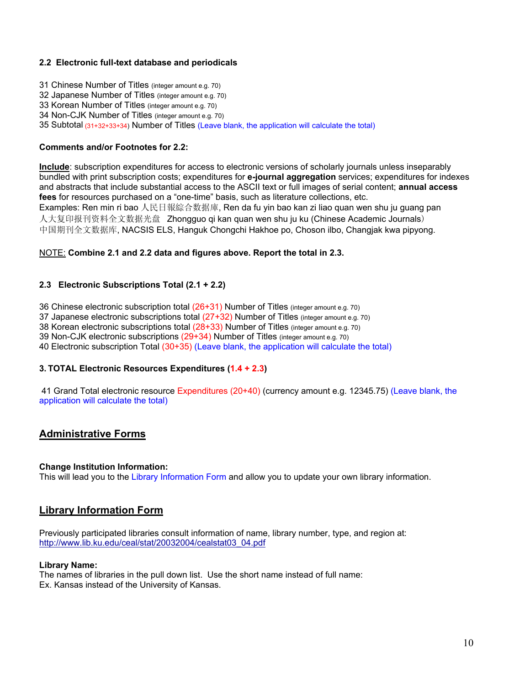### **2.2 Electronic full-text database and periodicals**

- 31 Chinese Number of Titles (integer amount e.g. 70)
- 32 Japanese Number of Titles (integer amount e.g. 70)
- 33 Korean Number of Titles (integer amount e.g. 70)
- 34 Non-CJK Number of Titles (integer amount e.g. 70)
- 35 Subtotal (31+32+33+34) Number of Titles (Leave blank, the application will calculate the total)

#### **Comments and/or Footnotes for 2.2:**

**Include**: subscription expenditures for access to electronic versions of scholarly journals unless inseparably bundled with print subscription costs; expenditures for **e-journal aggregation** services; expenditures for indexes and abstracts that include substantial access to the ASCII text or full images of serial content; **annual access fees** for resources purchased on a "one-time" basis, such as literature collections, etc. Examples: Ren min ri bao 人民日報綜合数据庫, Ren da fu yin bao kan zi liao quan wen shu ju guang pan 人大复印报刊资料全文数据光盘 Zhongguo qi kan quan wen shu ju ku (Chinese Academic Journals) 中国期刊全文数据库, NACSIS ELS, Hanguk Chongchi Hakhoe po, Choson ilbo, Changjak kwa pipyong.

### NOTE: **Combine 2.1 and 2.2 data and figures above. Report the total in 2.3.**

### **2.3 Electronic Subscriptions Total (2.1 + 2.2)**

36 Chinese electronic subscription total (26+31) Number of Titles (integer amount e.g. 70)

37 Japanese electronic subscriptions total  $(27+32)$  Number of Titles (integer amount e.g. 70)

38 Korean electronic subscriptions total (28+33) Number of Titles (integer amount e.g. 70)

39 Non-CJK electronic subscriptions (29+34) Number of Titles (integer amount e.g. 70)

40 Electronic subscription Total (30+35) (Leave blank, the application will calculate the total)

### **3. TOTAL Electronic Resources Expenditures (1.4 + 2.3)**

 41 Grand Total electronic resource Expenditures (20+40) (currency amount e.g. 12345.75) (Leave blank, the application will calculate the total)

## **Administrative Forms**

### **Change Institution Information:**

This will lead you to the Library Information Form and allow you to update your own library information.

## **Library Information Form**

Previously participated libraries consult information of name, library number, type, and region at: http://www.lib.ku.edu/ceal/stat/20032004/cealstat03\_04.pdf

### **Library Name:**

The names of libraries in the pull down list. Use the short name instead of full name: Ex. Kansas instead of the University of Kansas.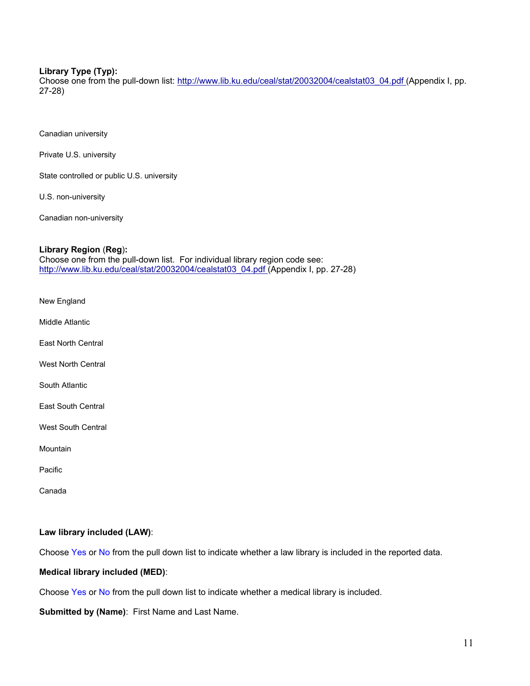### **Library Type (Typ):**

Choose one from the pull-down list: http://www.lib.ku.edu/ceal/stat/20032004/cealstat03\_04.pdf (Appendix I, pp. 27-28)

Canadian university

Private U.S. university

State controlled or public U.S. university

U.S. non-university

Canadian non-university

#### **Library Region** (**Reg**)**:**

Choose one from the pull-down list. For individual library region code see: http://www.lib.ku.edu/ceal/stat/20032004/cealstat03\_04.pdf (Appendix I, pp. 27-28)

New England

Middle Atlantic

East North Central

West North Central

South Atlantic

East South Central

West South Central

**Mountain** 

Pacific

Canada

### **Law library included (LAW)**:

Choose Yes or No from the pull down list to indicate whether a law library is included in the reported data.

#### **Medical library included (MED)**:

Choose Yes or No from the pull down list to indicate whether a medical library is included.

**Submitted by (Name)**: First Name and Last Name.